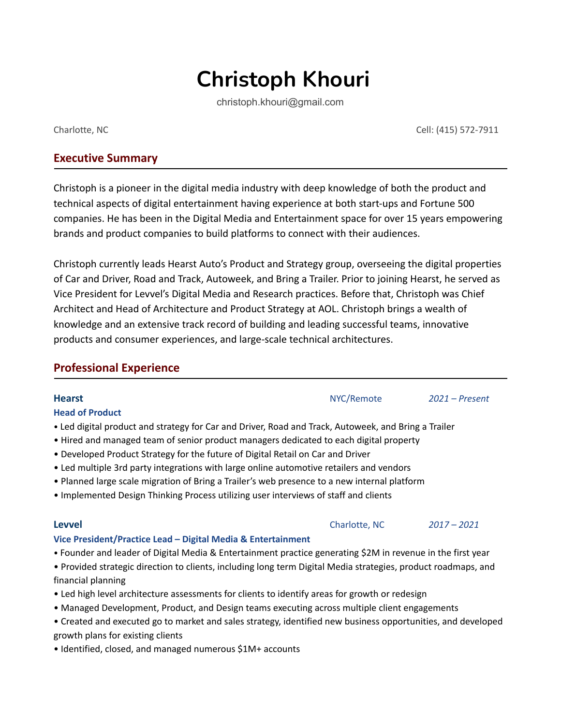# **Christoph Khouri**

christoph.khouri@gmail.com

# **Executive Summary**

Christoph is a pioneer in the digital media industry with deep knowledge of both the product and technical aspects of digital entertainment having experience at both start-ups and Fortune 500 companies. He has been in the Digital Media and Entertainment space for over 15 years empowering brands and product companies to build platforms to connect with their audiences.

Christoph currently leads Hearst Auto's Product and Strategy group, overseeing the digital properties of Car and Driver, Road and Track, Autoweek, and Bring a Trailer. Prior to joining Hearst, he served as Vice President for Levvel's Digital Media and Research practices. Before that, Christoph was Chief Architect and Head of Architecture and Product Strategy at AOL. Christoph brings a wealth of knowledge and an extensive track record of building and leading successful teams, innovative products and consumer experiences, and large-scale technical architectures.

| <b>Professional Experience</b>                                                                                                                                                                                                                                                                                                                                                                                                                                                                                                                                        |               |                  |
|-----------------------------------------------------------------------------------------------------------------------------------------------------------------------------------------------------------------------------------------------------------------------------------------------------------------------------------------------------------------------------------------------------------------------------------------------------------------------------------------------------------------------------------------------------------------------|---------------|------------------|
| <b>Hearst</b><br><b>Head of Product</b>                                                                                                                                                                                                                                                                                                                                                                                                                                                                                                                               | NYC/Remote    | $2021$ – Present |
| . Led digital product and strategy for Car and Driver, Road and Track, Autoweek, and Bring a Trailer<br>• Hired and managed team of senior product managers dedicated to each digital property<br>• Developed Product Strategy for the future of Digital Retail on Car and Driver<br>. Led multiple 3rd party integrations with large online automotive retailers and vendors<br>• Planned large scale migration of Bring a Trailer's web presence to a new internal platform<br>. Implemented Design Thinking Process utilizing user interviews of staff and clients |               |                  |
| <b>Levvel</b>                                                                                                                                                                                                                                                                                                                                                                                                                                                                                                                                                         | Charlotte, NC | $2017 - 2021$    |
| Vice President/Practice Lead – Digital Media & Entertainment<br>• Founder and leader of Digital Media & Entertainment practice generating \$2M in revenue in the first year<br>• Provided strategic direction to clients, including long term Digital Media strategies, product roadmaps, and<br>financial planning<br>• Led high level architecture assessments for clients to identify areas for growth or redesign                                                                                                                                                 |               |                  |

- Managed Development, Product, and Design teams executing across multiple client engagements
- Created and executed go to market and sales strategy, identified new business opportunities, and developed growth plans for existing clients
- Identified, closed, and managed numerous \$1M+ accounts

Cell: (415) 572-7911 Charlotte, NC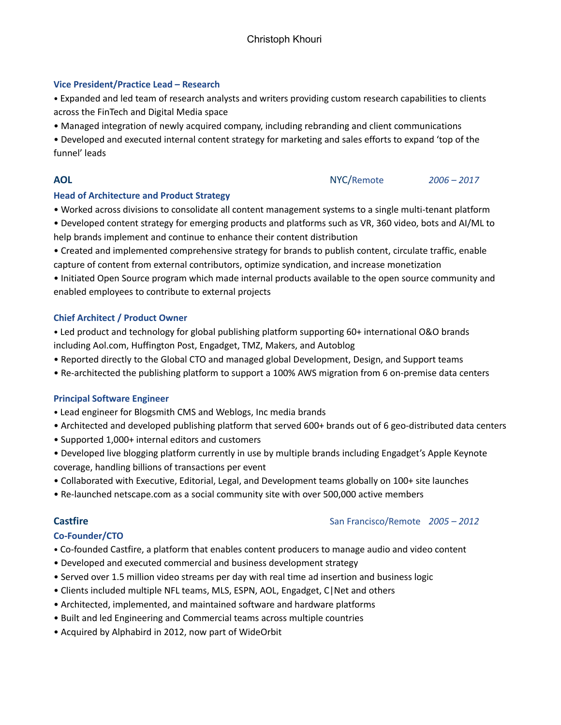### **Vice President/Practice Lead – Research**

• Expanded and led team of research analysts and writers providing custom research capabilities to clients across the FinTech and Digital Media space

• Managed integration of newly acquired company, including rebranding and client communications

• Developed and executed internal content strategy for marketing and sales efforts to expand 'top of the funnel' leads

## **Head of Architecture and Product Strategy**

- Worked across divisions to consolidate all content management systems to a single multi-tenant platform
- Developed content strategy for emerging products and platforms such as VR, 360 video, bots and AI/ML to help brands implement and continue to enhance their content distribution

• Created and implemented comprehensive strategy for brands to publish content, circulate traffic, enable capture of content from external contributors, optimize syndication, and increase monetization

• Initiated Open Source program which made internal products available to the open source community and enabled employees to contribute to external projects

## **Chief Architect / Product Owner**

• Led product and technology for global publishing platform supporting 60+ international O&O brands including Aol.com, Huffington Post, Engadget, TMZ, Makers, and Autoblog

- Reported directly to the Global CTO and managed global Development, Design, and Support teams
- Re-architected the publishing platform to support a 100% AWS migration from 6 on-premise data centers

## **Principal Software Engineer**

- Lead engineer for Blogsmith CMS and Weblogs, Inc media brands
- Architected and developed publishing platform that served 600+ brands out of 6 geo-distributed data centers
- Supported 1,000+ internal editors and customers
- Developed live blogging platform currently in use by multiple brands including Engadget's Apple Keynote coverage, handling billions of transactions per event
- Collaborated with Executive, Editorial, Legal, and Development teams globally on 100+ site launches
- Re-launched netscape.com as a social community site with over 500,000 active members

# **Co-Founder/CTO**

- Co-founded Castfire, a platform that enables content producers to manage audio and video content
- Developed and executed commercial and business development strategy
- Served over 1.5 million video streams per day with real time ad insertion and business logic
- Clients included multiple NFL teams, MLS, ESPN, AOL, Engadget, C|Net and others
- Architected, implemented, and maintained software and hardware platforms
- Built and led Engineering and Commercial teams across multiple countries
- Acquired by Alphabird in 2012, now part of WideOrbit

# **Castfire** San Francisco/Remote *2005 – 2012*

**AOL** NYC/Remote *2006 – 2017*